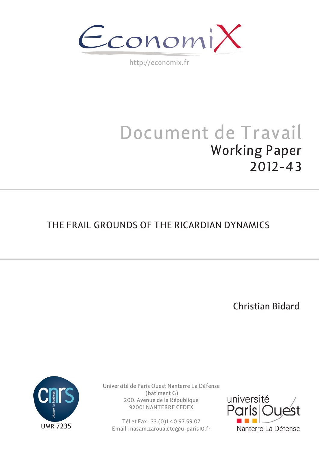$\epsilon$ conomi)

http://economix.fr

# Document de Travail Working Paper 2012-43

## THE FRAIL GROUNDS OF THE RICARDIAN DYNAMICS

Christian Bidard



Université de Paris Ouest Nanterre La Défense (bâtiment G) 200, Avenue de la République 92001 NANTERRE CEDEX

Tél et Fax : 33.(0)1.40.97.59.07 Email : nasam.zaroualete@u-paris10.fr

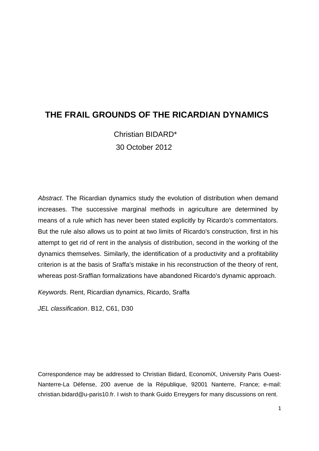### **THE FRAIL GROUNDS OF THE RICARDIAN DYNAMICS**

 Christian BIDARD\* 30 October 2012

Abstract. The Ricardian dynamics study the evolution of distribution when demand increases. The successive marginal methods in agriculture are determined by means of a rule which has never been stated explicitly by Ricardo's commentators. But the rule also allows us to point at two limits of Ricardo's construction, first in his attempt to get rid of rent in the analysis of distribution, second in the working of the dynamics themselves. Similarly, the identification of a productivity and a profitability criterion is at the basis of Sraffa's mistake in his reconstruction of the theory of rent, whereas post-Sraffian formalizations have abandoned Ricardo's dynamic approach.

Keywords. Rent, Ricardian dynamics, Ricardo, Sraffa

JEL classification. B12, C61, D30

Correspondence may be addressed to Christian Bidard, EconomiX, University Paris Ouest-Nanterre-La Défense, 200 avenue de la République, 92001 Nanterre, France; e-mail: christian.bidard@u-paris10.fr. I wish to thank Guido Erreygers for many discussions on rent.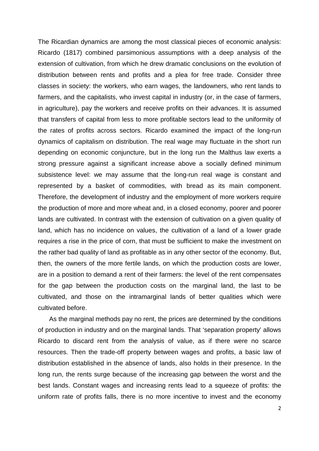The Ricardian dynamics are among the most classical pieces of economic analysis: Ricardo (1817) combined parsimonious assumptions with a deep analysis of the extension of cultivation, from which he drew dramatic conclusions on the evolution of distribution between rents and profits and a plea for free trade. Consider three classes in society: the workers, who earn wages, the landowners, who rent lands to farmers, and the capitalists, who invest capital in industry (or, in the case of farmers, in agriculture), pay the workers and receive profits on their advances. It is assumed that transfers of capital from less to more profitable sectors lead to the uniformity of the rates of profits across sectors. Ricardo examined the impact of the long-run dynamics of capitalism on distribution. The real wage may fluctuate in the short run depending on economic conjuncture, but in the long run the Malthus law exerts a strong pressure against a significant increase above a socially defined minimum subsistence level: we may assume that the long-run real wage is constant and represented by a basket of commodities, with bread as its main component. Therefore, the development of industry and the employment of more workers require the production of more and more wheat and, in a closed economy, poorer and poorer lands are cultivated. In contrast with the extension of cultivation on a given quality of land, which has no incidence on values, the cultivation of a land of a lower grade requires a rise in the price of corn, that must be sufficient to make the investment on the rather bad quality of land as profitable as in any other sector of the economy. But, then, the owners of the more fertile lands, on which the production costs are lower, are in a position to demand a rent of their farmers: the level of the rent compensates for the gap between the production costs on the marginal land, the last to be cultivated, and those on the intramarginal lands of better qualities which were cultivated before.

 As the marginal methods pay no rent, the prices are determined by the conditions of production in industry and on the marginal lands. That 'separation property' allows Ricardo to discard rent from the analysis of value, as if there were no scarce resources. Then the trade-off property between wages and profits, a basic law of distribution established in the absence of lands, also holds in their presence. In the long run, the rents surge because of the increasing gap between the worst and the best lands. Constant wages and increasing rents lead to a squeeze of profits: the uniform rate of profits falls, there is no more incentive to invest and the economy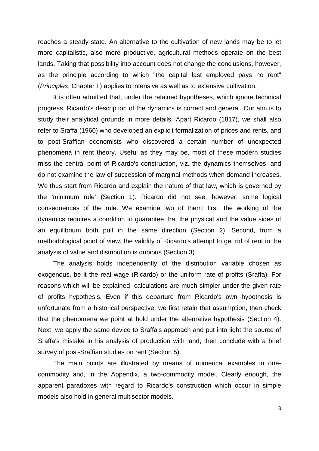reaches a steady state. An alternative to the cultivation of new lands may be to let more capitalistic, also more productive, agricultural methods operate on the best lands. Taking that possibility into account does not change the conclusions, however, as the principle according to which "the capital last employed pays no rent" (Principles, Chapter II) applies to intensive as well as to extensive cultivation.

It is often admitted that, under the retained hypotheses, which ignore technical progress, Ricardo's description of the dynamics is correct and general. Our aim is to study their analytical grounds in more details. Apart Ricardo (1817), we shall also refer to Sraffa (1960) who developed an explicit formalization of prices and rents, and to post-Sraffian economists who discovered a certain number of unexpected phenomena in rent theory. Useful as they may be, most of these modern studies miss the central point of Ricardo's construction, viz. the dynamics themselves, and do not examine the law of succession of marginal methods when demand increases. We thus start from Ricardo and explain the nature of that law, which is governed by the 'minimum rule' (Section 1). Ricardo did not see, however, some logical consequences of the rule. We examine two of them: first, the working of the dynamics requires a condition to guarantee that the physical and the value sides of an equilibrium both pull in the same direction (Section 2). Second, from a methodological point of view, the validity of Ricardo's attempt to get rid of rent in the analysis of value and distribution is dubious (Section 3).

The analysis holds independently of the distribution variable chosen as exogenous, be it the real wage (Ricardo) or the uniform rate of profits (Sraffa). For reasons which will be explained, calculations are much simpler under the given rate of profits hypothesis. Even if this departure from Ricardo's own hypothesis is unfortunate from a historical perspective, we first retain that assumption, then check that the phenomena we point at hold under the alternative hypothesis (Section 4). Next, we apply the same device to Sraffa's approach and put into light the source of Sraffa's mistake in his analysis of production with land, then conclude with a brief survey of post-Sraffian studies on rent (Section 5).

The main points are illustrated by means of numerical examples in onecommodity and, in the Appendix, a two-commodity model. Clearly enough, the apparent paradoxes with regard to Ricardo's construction which occur in simple models also hold in general multisector models.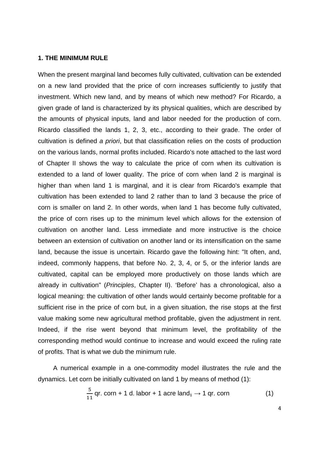#### **1. THE MINIMUM RULE**

When the present marginal land becomes fully cultivated, cultivation can be extended on a new land provided that the price of corn increases sufficiently to justify that investment. Which new land, and by means of which new method? For Ricardo, a given grade of land is characterized by its physical qualities, which are described by the amounts of physical inputs, land and labor needed for the production of corn. Ricardo classified the lands 1, 2, 3, etc., according to their grade. The order of cultivation is defined a priori, but that classification relies on the costs of production on the various lands, normal profits included. Ricardo's note attached to the last word of Chapter II shows the way to calculate the price of corn when its cultivation is extended to a land of lower quality. The price of corn when land 2 is marginal is higher than when land 1 is marginal, and it is clear from Ricardo's example that cultivation has been extended to land 2 rather than to land 3 because the price of corn is smaller on land 2. In other words, when land 1 has become fully cultivated, the price of corn rises up to the minimum level which allows for the extension of cultivation on another land. Less immediate and more instructive is the choice between an extension of cultivation on another land or its intensification on the same land, because the issue is uncertain. Ricardo gave the following hint: "It often, and, indeed, commonly happens, that before No. 2, 3, 4, or 5, or the inferior lands are cultivated, capital can be employed more productively on those lands which are already in cultivation" (Principles, Chapter II). 'Before' has a chronological, also a logical meaning: the cultivation of other lands would certainly become profitable for a sufficient rise in the price of corn but, in a given situation, the rise stops at the first value making some new agricultural method profitable, given the adjustment in rent. Indeed, if the rise went beyond that minimum level, the profitability of the corresponding method would continue to increase and would exceed the ruling rate of profits. That is what we dub the minimum rule.

A numerical example in a one-commodity model illustrates the rule and the dynamics. Let corn be initially cultivated on land 1 by means of method (1):

 $\bar{\mathbf{r}}$ 

$$
\frac{5}{11}
$$
qr. corn + 1 d. labor + 1 acre land<sub>1</sub> → 1 qr. corn (1)

4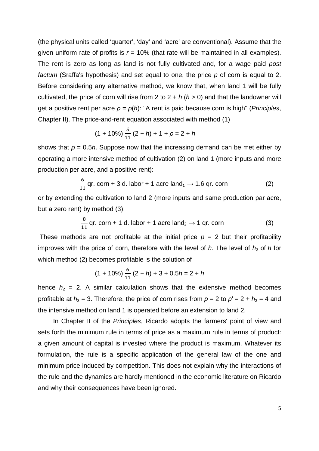(the physical units called 'quarter', 'day' and 'acre' are conventional). Assume that the given uniform rate of profits is  $r = 10\%$  (that rate will be maintained in all examples). The rent is zero as long as land is not fully cultivated and, for a wage paid post factum (Sraffa's hypothesis) and set equal to one, the price  $p$  of corn is equal to 2. Before considering any alternative method, we know that, when land 1 will be fully cultivated, the price of corn will rise from 2 to  $2 + h(h > 0)$  and that the landowner will get a positive rent per acre *ρ* = *ρ*(h): "A rent is paid because corn is high" (Principles, Chapter II). The price-and-rent equation associated with method (1)

$$
(1 + 10\%) \frac{5}{11} (2 + h) + 1 + \rho = 2 + h
$$

shows that  $\rho = 0.5h$ . Suppose now that the increasing demand can be met either by operating a more intensive method of cultivation (2) on land 1 (more inputs and more production per acre, and a positive rent):

$$
\frac{6}{11}
$$
qr. corn + 3 d. labor + 1 acre land<sub>1</sub> → 1.6 qr. corn (2)

or by extending the cultivation to land 2 (more inputs and same production par acre, but a zero rent) by method (3):

$$
\frac{8}{11} \text{qr. corn} + 1 \text{ d. labor} + 1 \text{ acre land}_2 \rightarrow 1 \text{ qr. corn} \tag{3}
$$

These methods are not profitable at the initial price  $p = 2$  but their profitability improves with the price of corn, therefore with the level of h. The level of  $h<sub>2</sub>$  of h for which method (2) becomes profitable is the solution of

$$
(1 + 10\%) \frac{6}{11} (2 + h) + 3 + 0.5h = 2 + h
$$

hence  $h_2 = 2$ . A similar calculation shows that the extensive method becomes profitable at  $h_3 = 3$ . Therefore, the price of corn rises from  $p = 2$  to  $p' = 2 + h_2 = 4$  and the intensive method on land 1 is operated before an extension to land 2.

In Chapter II of the Principles, Ricardo adopts the farmers' point of view and sets forth the minimum rule in terms of price as a maximum rule in terms of product: a given amount of capital is invested where the product is maximum. Whatever its formulation, the rule is a specific application of the general law of the one and minimum price induced by competition. This does not explain why the interactions of the rule and the dynamics are hardly mentioned in the economic literature on Ricardo and why their consequences have been ignored.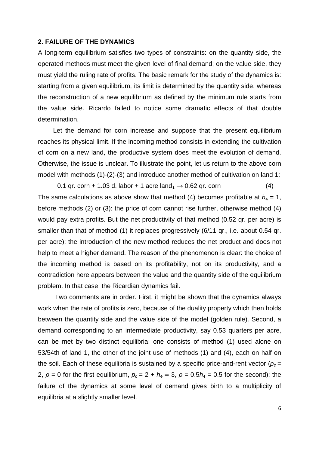#### **2. FAILURE OF THE DYNAMICS**

A long-term equilibrium satisfies two types of constraints: on the quantity side, the operated methods must meet the given level of final demand; on the value side, they must yield the ruling rate of profits. The basic remark for the study of the dynamics is: starting from a given equilibrium, its limit is determined by the quantity side, whereas the reconstruction of a new equilibrium as defined by the minimum rule starts from the value side. Ricardo failed to notice some dramatic effects of that double determination.

Let the demand for corn increase and suppose that the present equilibrium reaches its physical limit. If the incoming method consists in extending the cultivation of corn on a new land, the productive system does meet the evolution of demand. Otherwise, the issue is unclear. To illustrate the point, let us return to the above corn model with methods (1)-(2)-(3) and introduce another method of cultivation on land 1:

0.1 qr. corn + 1.03 d. labor + 1 acre land<sub>1</sub>  $\rightarrow$  0.62 gr. corn (4) The same calculations as above show that method (4) becomes profitable at  $h_4 = 1$ , before methods (2) or (3): the price of corn cannot rise further, otherwise method (4) would pay extra profits. But the net productivity of that method (0.52 qr. per acre) is smaller than that of method (1) it replaces progressively (6/11 qr., i.e. about 0.54 qr. per acre): the introduction of the new method reduces the net product and does not help to meet a higher demand. The reason of the phenomenon is clear: the choice of the incoming method is based on its profitability, not on its productivity, and a contradiction here appears between the value and the quantity side of the equilibrium problem. In that case, the Ricardian dynamics fail.

 Two comments are in order. First, it might be shown that the dynamics always work when the rate of profits is zero, because of the duality property which then holds between the quantity side and the value side of the model (golden rule). Second, a demand corresponding to an intermediate productivity, say 0.53 quarters per acre, can be met by two distinct equilibria: one consists of method (1) used alone on 53/54th of land 1, the other of the joint use of methods (1) and (4), each on half on the soil. Each of these equilibria is sustained by a specific price-and-rent vector ( $p_c$  = 2,  $\rho = 0$  for the first equilibrium,  $\rho_c = 2 + h_4 = 3$ ,  $\rho = 0.5h_4 = 0.5$  for the second): the failure of the dynamics at some level of demand gives birth to a multiplicity of equilibria at a slightly smaller level.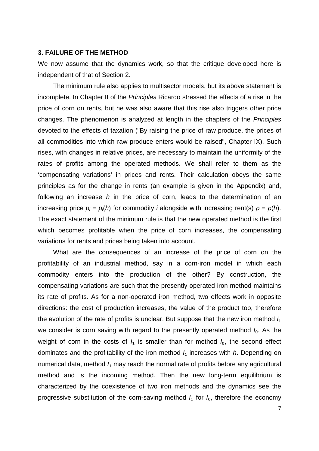#### **3. FAILURE OF THE METHOD**

We now assume that the dynamics work, so that the critique developed here is independent of that of Section 2.

The minimum rule also applies to multisector models, but its above statement is incomplete. In Chapter II of the Principles Ricardo stressed the effects of a rise in the price of corn on rents, but he was also aware that this rise also triggers other price changes. The phenomenon is analyzed at length in the chapters of the Principles devoted to the effects of taxation ("By raising the price of raw produce, the prices of all commodities into which raw produce enters would be raised", Chapter IX). Such rises, with changes in relative prices, are necessary to maintain the uniformity of the rates of profits among the operated methods. We shall refer to them as the 'compensating variations' in prices and rents. Their calculation obeys the same principles as for the change in rents (an example is given in the Appendix) and, following an increase  $h$  in the price of corn, leads to the determination of an increasing price  $p_i = p_i(h)$  for commodity *i* alongside with increasing rent(s)  $\rho = \rho(h)$ . The exact statement of the minimum rule is that the new operated method is the first which becomes profitable when the price of corn increases, the compensating variations for rents and prices being taken into account.

What are the consequences of an increase of the price of corn on the profitability of an industrial method, say in a corn-iron model in which each commodity enters into the production of the other? By construction, the compensating variations are such that the presently operated iron method maintains its rate of profits. As for a non-operated iron method, two effects work in opposite directions: the cost of production increases, the value of the product too, therefore the evolution of the rate of profits is unclear. But suppose that the new iron method  $I_1$ we consider is corn saving with regard to the presently operated method  $I_0$ . As the weight of corn in the costs of  $I_1$  is smaller than for method  $I_0$ , the second effect dominates and the profitability of the iron method  $I_1$  increases with  $h$ . Depending on numerical data, method  $I_1$  may reach the normal rate of profits before any agricultural method and is the incoming method. Then the new long-term equilibrium is characterized by the coexistence of two iron methods and the dynamics see the progressive substitution of the corn-saving method  $I_1$  for  $I_0$ , therefore the economy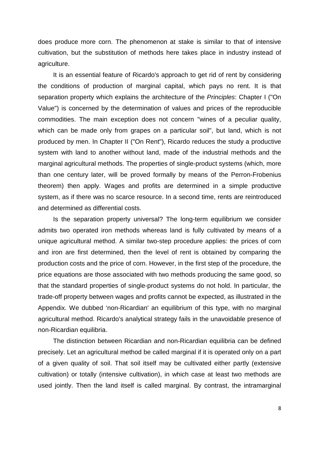does produce more corn. The phenomenon at stake is similar to that of intensive cultivation, but the substitution of methods here takes place in industry instead of agriculture.

It is an essential feature of Ricardo's approach to get rid of rent by considering the conditions of production of marginal capital, which pays no rent. It is that separation property which explains the architecture of the *Principles*: Chapter I ("On Value") is concerned by the determination of values and prices of the reproducible commodities. The main exception does not concern "wines of a peculiar quality, which can be made only from grapes on a particular soil", but land, which is not produced by men. In Chapter II ("On Rent"), Ricardo reduces the study a productive system with land to another without land, made of the industrial methods and the marginal agricultural methods. The properties of single-product systems (which, more than one century later, will be proved formally by means of the Perron-Frobenius theorem) then apply. Wages and profits are determined in a simple productive system, as if there was no scarce resource. In a second time, rents are reintroduced and determined as differential costs.

Is the separation property universal? The long-term equilibrium we consider admits two operated iron methods whereas land is fully cultivated by means of a unique agricultural method. A similar two-step procedure applies: the prices of corn and iron are first determined, then the level of rent is obtained by comparing the production costs and the price of corn. However, in the first step of the procedure, the price equations are those associated with two methods producing the same good, so that the standard properties of single-product systems do not hold. In particular, the trade-off property between wages and profits cannot be expected, as illustrated in the Appendix. We dubbed 'non-Ricardian' an equilibrium of this type, with no marginal agricultural method. Ricardo's analytical strategy fails in the unavoidable presence of non-Ricardian equilibria.

The distinction between Ricardian and non-Ricardian equilibria can be defined precisely. Let an agricultural method be called marginal if it is operated only on a part of a given quality of soil. That soil itself may be cultivated either partly (extensive cultivation) or totally (intensive cultivation), in which case at least two methods are used jointly. Then the land itself is called marginal. By contrast, the intramarginal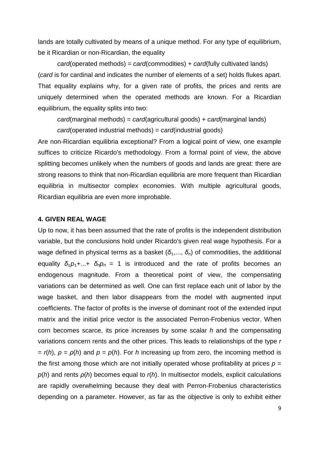lands are totally cultivated by means of a unique method. For any type of equilibrium, be it Ricardian or non-Ricardian, the equality

 $card(operated methods) = card(commodities) + card(fully cultivated lands)$ (card is for cardinal and indicates the number of elements of a set) holds flukes apart. That equality explains why, for a given rate of profits, the prices and rents are uniquely determined when the operated methods are known. For a Ricardian equilibrium, the equality splits into two:

 $card(\text{marginal methods}) = card(\text{agricultural goods}) + card(\text{marginal lands})$ 

card(operated industrial methods) = card(industrial goods)

Are non-Ricardian equilibria exceptional? From a logical point of view, one example suffices to criticize Ricardo's methodology. From a formal point of view, the above splitting becomes unlikely when the numbers of goods and lands are great: there are strong reasons to think that non-Ricardian equilibria are more frequent than Ricardian equilibria in multisector complex economies. With multiple agricultural goods, Ricardian equilibria are even more improbable.

#### **4. GIVEN REAL WAGE**

Up to now, it has been assumed that the rate of profits is the independent distribution variable, but the conclusions hold under Ricardo's given real wage hypothesis. For a wage defined in physical terms as a basket ( $\delta_1$ ,...,  $\delta_n$ ) of commodities, the additional equality  $\delta_1 p_1 + ... + \delta_n p_n = 1$  is introduced and the rate of profits becomes an endogenous magnitude. From a theoretical point of view, the compensating variations can be determined as well. One can first replace each unit of labor by the wage basket, and then labor disappears from the model with augmented input coefficients. The factor of profits is the inverse of dominant root of the extended input matrix and the initial price vector is the associated Perron-Frobenius vector. When corn becomes scarce, its price increases by some scalar h and the compensating variations concern rents and the other prices. This leads to relationships of the type r  $= r(h)$ ,  $\rho = \rho(h)$  and  $p = p(h)$ . For h increasing up from zero, the incoming method is the first among those which are not initially operated whose profitability at prices  $p =$  $p(h)$  and rents  $p(h)$  becomes equal to  $r(h)$ . In multisector models, explicit calculations are rapidly overwhelming because they deal with Perron-Frobenius characteristics depending on a parameter. However, as far as the objective is only to exhibit either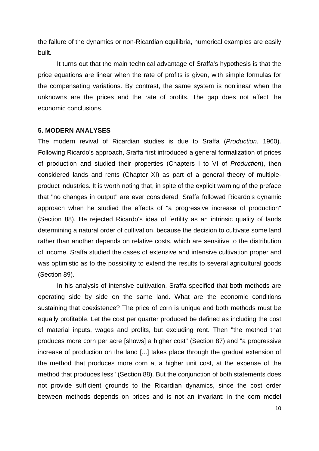the failure of the dynamics or non-Ricardian equilibria, numerical examples are easily built.

 It turns out that the main technical advantage of Sraffa's hypothesis is that the price equations are linear when the rate of profits is given, with simple formulas for the compensating variations. By contrast, the same system is nonlinear when the unknowns are the prices and the rate of profits. The gap does not affect the economic conclusions.

#### **5. MODERN ANALYSES**

The modern revival of Ricardian studies is due to Sraffa (Production, 1960). Following Ricardo's approach, Sraffa first introduced a general formalization of prices of production and studied their properties (Chapters I to VI of Production), then considered lands and rents (Chapter XI) as part of a general theory of multipleproduct industries. It is worth noting that, in spite of the explicit warning of the preface that "no changes in output" are ever considered, Sraffa followed Ricardo's dynamic approach when he studied the effects of "a progressive increase of production" (Section 88). He rejected Ricardo's idea of fertility as an intrinsic quality of lands determining a natural order of cultivation, because the decision to cultivate some land rather than another depends on relative costs, which are sensitive to the distribution of income. Sraffa studied the cases of extensive and intensive cultivation proper and was optimistic as to the possibility to extend the results to several agricultural goods (Section 89).

 In his analysis of intensive cultivation, Sraffa specified that both methods are operating side by side on the same land. What are the economic conditions sustaining that coexistence? The price of corn is unique and both methods must be equally profitable. Let the cost per quarter produced be defined as including the cost of material inputs, wages and profits, but excluding rent. Then "the method that produces more corn per acre [shows] a higher cost" (Section 87) and "a progressive increase of production on the land [...] takes place through the gradual extension of the method that produces more corn at a higher unit cost, at the expense of the method that produces less" (Section 88). But the conjunction of both statements does not provide sufficient grounds to the Ricardian dynamics, since the cost order between methods depends on prices and is not an invariant: in the corn model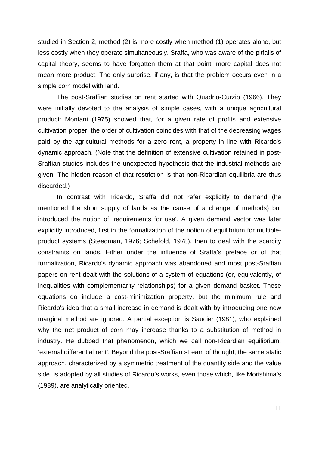studied in Section 2, method (2) is more costly when method (1) operates alone, but less costly when they operate simultaneously. Sraffa, who was aware of the pitfalls of capital theory, seems to have forgotten them at that point: more capital does not mean more product. The only surprise, if any, is that the problem occurs even in a simple corn model with land.

 The post-Sraffian studies on rent started with Quadrio-Curzio (1966). They were initially devoted to the analysis of simple cases, with a unique agricultural product: Montani (1975) showed that, for a given rate of profits and extensive cultivation proper, the order of cultivation coincides with that of the decreasing wages paid by the agricultural methods for a zero rent, a property in line with Ricardo's dynamic approach. (Note that the definition of extensive cultivation retained in post-Sraffian studies includes the unexpected hypothesis that the industrial methods are given. The hidden reason of that restriction is that non-Ricardian equilibria are thus discarded.)

 In contrast with Ricardo, Sraffa did not refer explicitly to demand (he mentioned the short supply of lands as the cause of a change of methods) but introduced the notion of 'requirements for use'. A given demand vector was later explicitly introduced, first in the formalization of the notion of equilibrium for multipleproduct systems (Steedman, 1976; Schefold, 1978), then to deal with the scarcity constraints on lands. Either under the influence of Sraffa's preface or of that formalization, Ricardo's dynamic approach was abandoned and most post-Sraffian papers on rent dealt with the solutions of a system of equations (or, equivalently, of inequalities with complementarity relationships) for a given demand basket. These equations do include a cost-minimization property, but the minimum rule and Ricardo's idea that a small increase in demand is dealt with by introducing one new marginal method are ignored. A partial exception is Saucier (1981), who explained why the net product of corn may increase thanks to a substitution of method in industry. He dubbed that phenomenon, which we call non-Ricardian equilibrium, 'external differential rent'. Beyond the post-Sraffian stream of thought, the same static approach, characterized by a symmetric treatment of the quantity side and the value side, is adopted by all studies of Ricardo's works, even those which, like Morishima's (1989), are analytically oriented.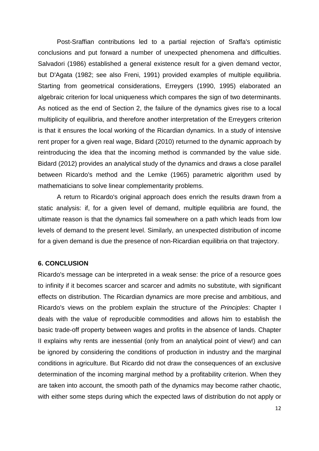Post-Sraffian contributions led to a partial rejection of Sraffa's optimistic conclusions and put forward a number of unexpected phenomena and difficulties. Salvadori (1986) established a general existence result for a given demand vector, but D'Agata (1982; see also Freni, 1991) provided examples of multiple equilibria. Starting from geometrical considerations, Erreygers (1990, 1995) elaborated an algebraic criterion for local uniqueness which compares the sign of two determinants. As noticed as the end of Section 2, the failure of the dynamics gives rise to a local multiplicity of equilibria, and therefore another interpretation of the Erreygers criterion is that it ensures the local working of the Ricardian dynamics. In a study of intensive rent proper for a given real wage, Bidard (2010) returned to the dynamic approach by reintroducing the idea that the incoming method is commanded by the value side. Bidard (2012) provides an analytical study of the dynamics and draws a close parallel between Ricardo's method and the Lemke (1965) parametric algorithm used by mathematicians to solve linear complementarity problems.

 A return to Ricardo's original approach does enrich the results drawn from a static analysis: if, for a given level of demand, multiple equilibria are found, the ultimate reason is that the dynamics fail somewhere on a path which leads from low levels of demand to the present level. Similarly, an unexpected distribution of income for a given demand is due the presence of non-Ricardian equilibria on that trajectory.

#### **6. CONCLUSION**

Ricardo's message can be interpreted in a weak sense: the price of a resource goes to infinity if it becomes scarcer and scarcer and admits no substitute, with significant effects on distribution. The Ricardian dynamics are more precise and ambitious, and Ricardo's views on the problem explain the structure of the Principles: Chapter I deals with the value of reproducible commodities and allows him to establish the basic trade-off property between wages and profits in the absence of lands. Chapter II explains why rents are inessential (only from an analytical point of view!) and can be ignored by considering the conditions of production in industry and the marginal conditions in agriculture. But Ricardo did not draw the consequences of an exclusive determination of the incoming marginal method by a profitability criterion. When they are taken into account, the smooth path of the dynamics may become rather chaotic, with either some steps during which the expected laws of distribution do not apply or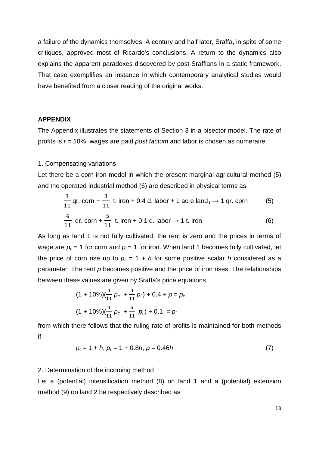a failure of the dynamics themselves. A century and half later, Sraffa, in spite of some critiques, approved most of Ricardo's conclusions. A return to the dynamics also explains the apparent paradoxes discovered by post-Sraffians in a static framework. That case exemplifies an instance in which contemporary analytical studies would have benefited from a closer reading of the original works.

#### **APPENDIX**

The Appendix illustrates the statements of Section 3 in a bisector model. The rate of profits is  $r = 10\%$ , wages are paid *post factum* and labor is chosen as numeraire.

#### 1. Compensating variations

Let there be a corn-iron model in which the present marginal agricultural method (5) and the operated industrial method (6) are described in physical terms as

$$
\frac{3}{11} \text{qr. com} + \frac{3}{11} \text{ t. iron} + 0.4 \text{ d. labor} + 1 \text{ acre land}_1 \rightarrow 1 \text{ qr. corn} \tag{5}
$$
\n
$$
\frac{4}{11} \text{qr. corn} + \frac{5}{11} \text{ t. iron} + 0.1 \text{ d. labor} \rightarrow 1 \text{ t. iron} \tag{6}
$$

As long as land 1 is not fully cultivated, the rent is zero and the prices in terms of wage are  $p_c = 1$  for corn and  $p_i = 1$  for iron. When land 1 becomes fully cultivated, let the price of corn rise up to  $p_c = 1 + h$  for some positive scalar h considered as a parameter. The rent *ρ* becomes positive and the price of iron rises. The relationships between these values are given by Sraffa's price equations

$$
(1 + 10\%)\left(\frac{3}{11}p_c + \frac{3}{11}p_i\right) + 0.4 + \rho = p_c
$$
\n
$$
(1 + 10\%)\left(\frac{4}{11}p_c + \frac{5}{11}p_i\right) + 0.1 = p_i
$$

from which there follows that the ruling rate of profits is maintained for both methods if

$$
p_c = 1 + h, p_i = 1 + 0.8h, \rho = 0.46h \tag{7}
$$

#### 2. Determination of the incoming method

Let a (potential) intensification method (8) on land 1 and a (potential) extension method (9) on land 2 be respectively described as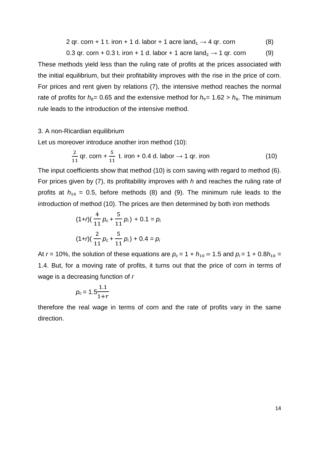2 qr. corn + 1 t. iron + 1 d. labor + 1 acre land<sub>1</sub>  $\rightarrow$  4 qr. corn (8)

0.3 qr. corn + 0.3 t. iron + 1 d. labor + 1 acre land<sub>2</sub> 
$$
\rightarrow
$$
 1 qr. corn (9)

These methods yield less than the ruling rate of profits at the prices associated with the initial equilibrium, but their profitability improves with the rise in the price of corn. For prices and rent given by relations (7), the intensive method reaches the normal rate of profits for  $h_8$ = 0.65 and the extensive method for  $h_9$ = 1.62 >  $h_8$ . The minimum rule leads to the introduction of the intensive method.

#### 3. A non-Ricardian equilibrium

Let us moreover introduce another iron method (10):

$$
\frac{2}{11} \text{qr. corn} + \frac{5}{11} \text{ t. iron} + 0.4 \text{ d. labor} \rightarrow 1 \text{ qr. iron}
$$
 (10)

The input coefficients show that method (10) is corn saving with regard to method (6). For prices given by  $(7)$ , its profitability improves with h and reaches the ruling rate of profits at  $h_{10} = 0.5$ , before methods (8) and (9). The minimum rule leads to the introduction of method (10). The prices are then determined by both iron methods

$$
(1+r)(\frac{4}{11}p_c + \frac{5}{11}p_i) + 0.1 = p_i
$$

$$
(1+r)(\frac{2}{11}p_c + \frac{5}{11}p_i) + 0.4 = p_i
$$

At r = 10%, the solution of these equations are  $p_c = 1 + h_{10} = 1.5$  and  $p_i = 1 + 0.8h_{10} =$ 1.4. But, for a moving rate of profits, it turns out that the price of corn in terms of wage is a decreasing function of r

$$
p_c = 1.5 \frac{1.1}{1+r}
$$

therefore the real wage in terms of corn and the rate of profits vary in the same direction.